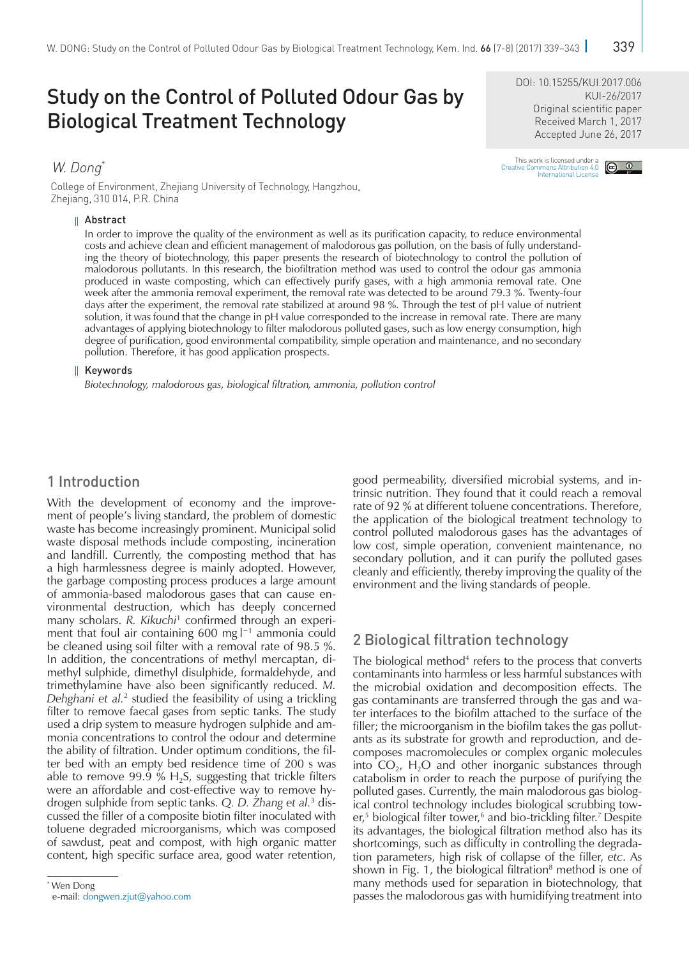College of Environment, Zhejiang University of Technology, Hangzhou, Zhejiang, 310 014, P.R. China

#### Abstract

In order to improve the quality of the environment as well as its purification capacity, to reduce environmental costs and achieve clean and efficient management of malodorous gas pollution, on the basis of fully understanding the theory of biotechnology, this paper presents the research of biotechnology to control the pollution of malodorous pollutants. In this research, the biofiltration method was used to control the odour gas ammonia produced in waste composting, which can effectively purify gases, with a high ammonia removal rate. One week after the ammonia removal experiment, the removal rate was detected to be around 79.3 %. Twenty-four days after the experiment, the removal rate stabilized at around 98 %. Through the test of pH value of nutrient solution, it was found that the change in pH value corresponded to the increase in removal rate. There are many advantages of applying biotechnology to filter malodorous polluted gases, such as low energy consumption, high degree of purification, good environmental compatibility, simple operation and maintenance, and no secondary pollution. Therefore, it has good application prospects.

#### Ш Keywords

*Biotechnology, malodorous gas, biological filtration, ammonia, pollution control*

## 1 Introduction

With the development of economy and the improvement of people's living standard, the problem of domestic waste has become increasingly prominent. Municipal solid waste disposal methods include composting, incineration and landfill. Currently, the composting method that has a high harmlessness degree is mainly adopted. However, the garbage composting process produces a large amount of ammonia-based malodorous gases that can cause environmental destruction, which has deeply concerned many scholars. R. Kikuchi<sup>1</sup> confirmed through an experiment that foul air containing 600 mg  $l^{-1}$  ammonia could be cleaned using soil filter with a removal rate of 98.5 %. In addition, the concentrations of methyl mercaptan, dimethyl sulphide, dimethyl disulphide, formaldehyde, and trimethylamine have also been significantly reduced. *M.*  Dehghani et al.<sup>2</sup> studied the feasibility of using a trickling filter to remove faecal gases from septic tanks. The study used a drip system to measure hydrogen sulphide and ammonia concentrations to control the odour and determine the ability of filtration. Under optimum conditions, the filter bed with an empty bed residence time of 200 s was able to remove 99.9 %  $H_2S$ , suggesting that trickle filters were an affordable and cost-effective way to remove hydrogen sulphide from septic tanks. *Q. D. Zhang et al.*<sup>3</sup> discussed the filler of a composite biotin filter inoculated with toluene degraded microorganisms, which was composed of sawdust, peat and compost, with high organic matter content, high specific surface area, good water retention,

\* Wen Dong

e-mail: [dongwen.zjut@yahoo.com](mailto:dongwen.zjut%40yahoo.com?subject=)

good permeability, diversified microbial systems, and intrinsic nutrition. They found that it could reach a removal rate of 92 % at different toluene concentrations. Therefore, the application of the biological treatment technology to control polluted malodorous gases has the advantages of low cost, simple operation, convenient maintenance, no secondary pollution, and it can purify the polluted gases cleanly and efficiently, thereby improving the quality of the environment and the living standards of people.

## 2 Biological filtration technology

The biological method<sup>4</sup> refers to the process that converts contaminants into harmless or less harmful substances with the microbial oxidation and decomposition effects. The gas contaminants are transferred through the gas and water interfaces to the biofilm attached to the surface of the filler; the microorganism in the biofilm takes the gas pollutants as its substrate for growth and reproduction, and decomposes macromolecules or complex organic molecules into  $CO<sub>2</sub>$ , H<sub>2</sub>O and other inorganic substances through catabolism in order to reach the purpose of purifying the polluted gases. Currently, the main malodorous gas biological control technology includes biological scrubbing tower,<sup>5</sup> biological filter tower,<sup>6</sup> and bio-trickling filter.<sup>7</sup> Despite its advantages, the biological filtration method also has its shortcomings, such as difficulty in controlling the degradation parameters, high risk of collapse of the filler, *etc*. As shown in Fig. 1, the biological filtration<sup>8</sup> method is one of many methods used for separation in biotechnology, that passes the malodorous gas with humidifying treatment into

Original scientific paper Received March 1, 2017 Accepted June 26, 2017

DOI: [10.15255/KUI.2017.006](https://doi.org/10.15255/KUI.2017.006)

# This work is licensed under a<br>Creative Commons Attribution 4.0<br>[International License](http://creativecommons.org/licenses/by/4.0/)

KUI-26/2017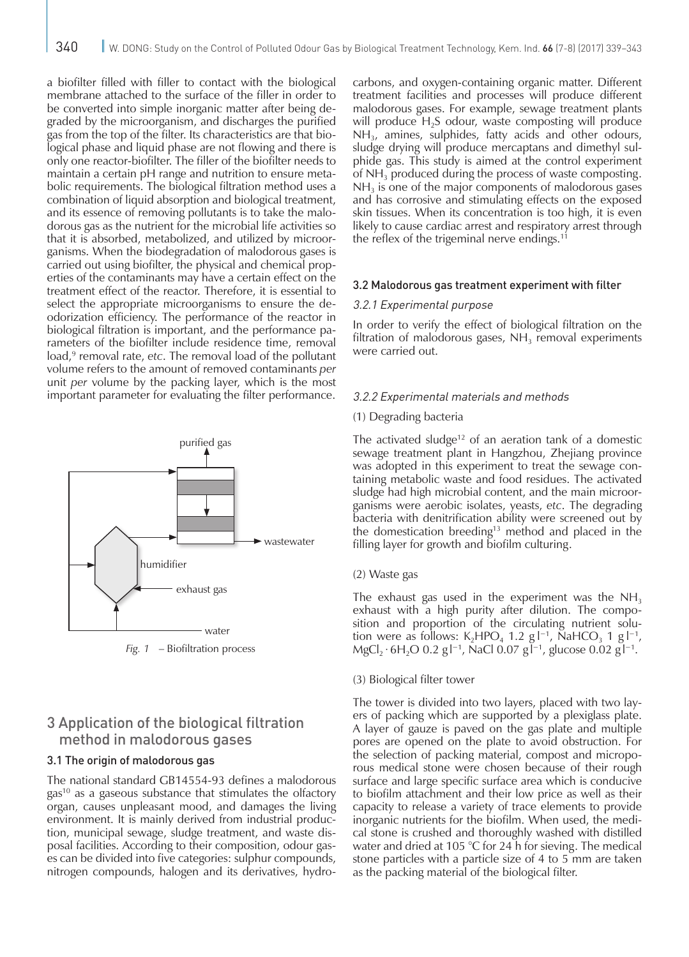a biofilter filled with filler to contact with the biological membrane attached to the surface of the filler in order to be converted into simple inorganic matter after being degraded by the microorganism, and discharges the purified gas from the top of the filter. Its characteristics are that biological phase and liquid phase are not flowing and there is only one reactor-biofilter. The filler of the biofilter needs to maintain a certain pH range and nutrition to ensure metabolic requirements. The biological filtration method uses a combination of liquid absorption and biological treatment, and its essence of removing pollutants is to take the malodorous gas as the nutrient for the microbial life activities so that it is absorbed, metabolized, and utilized by microorganisms. When the biodegradation of malodorous gases is carried out using biofilter, the physical and chemical properties of the contaminants may have a certain effect on the treatment effect of the reactor. Therefore, it is essential to select the appropriate microorganisms to ensure the deodorization efficiency. The performance of the reactor in biological filtration is important, and the performance parameters of the biofilter include residence time, removal load,<sup>9</sup> removal rate, *etc*. The removal load of the pollutant volume refers to the amount of removed contaminants *per*  unit *per* volume by the packing layer, which is the most important parameter for evaluating the filter performance.



*Fig. 1* – Biofiltration process

## 3 Application of the biological filtration method in malodorous gases

## 3.1 The origin of malodorous gas

The national standard GB14554-93 defines a malodorous gas<sup>10</sup> as a gaseous substance that stimulates the olfactory organ, causes unpleasant mood, and damages the living environment. It is mainly derived from industrial production, municipal sewage, sludge treatment, and waste disposal facilities. According to their composition, odour gases can be divided into five categories: sulphur compounds, nitrogen compounds, halogen and its derivatives, hydrocarbons, and oxygen-containing organic matter. Different treatment facilities and processes will produce different malodorous gases. For example, sewage treatment plants will produce  $H_2S$  odour, waste composting will produce  $NH<sub>3</sub>$ , amines, sulphides, fatty acids and other odours, sludge drying will produce mercaptans and dimethyl sulphide gas. This study is aimed at the control experiment of  $NH<sub>3</sub>$  produced during the process of waste composting.  $NH<sub>3</sub>$  is one of the major components of malodorous gases and has corrosive and stimulating effects on the exposed skin tissues. When its concentration is too high, it is even likely to cause cardiac arrest and respiratory arrest through the reflex of the trigeminal nerve endings.<sup>11</sup>

#### 3.2 Malodorous gas treatment experiment with filter

#### 3.2.1 Experimental purpose

In order to verify the effect of biological filtration on the filtration of malodorous gases,  $NH<sub>3</sub>$  removal experiments were carried out.

### 3.2.2 Experimental materials and methods

#### (1) Degrading bacteria

The activated sludge<sup>12</sup> of an aeration tank of a domestic sewage treatment plant in Hangzhou, Zhejiang province was adopted in this experiment to treat the sewage containing metabolic waste and food residues. The activated sludge had high microbial content, and the main microorganisms were aerobic isolates, yeasts, *etc*. The degrading bacteria with denitrification ability were screened out by the domestication breeding<sup>13</sup> method and placed in the filling layer for growth and biofilm culturing.

#### (2) Waste gas

The exhaust gas used in the experiment was the  $NH<sub>3</sub>$ exhaust with a high purity after dilution. The composition and proportion of the circulating nutrient solution were as follows:  $K_2HPO_4$  1.2 g  $I^{-1}$ , NaHCO<sub>3</sub> 1 g  $I^{-1}$ , MgCl<sub>2</sub> ⋅ 6H<sub>2</sub>O 0.2 g l<sup>-1</sup>, NaCl 0.07 g l<sup>-1</sup>, glucose 0.02 g l<sup>-1</sup>.

#### (3) Biological filter tower

The tower is divided into two layers, placed with two layers of packing which are supported by a plexiglass plate. A layer of gauze is paved on the gas plate and multiple pores are opened on the plate to avoid obstruction. For the selection of packing material, compost and microporous medical stone were chosen because of their rough surface and large specific surface area which is conducive to biofilm attachment and their low price as well as their capacity to release a variety of trace elements to provide inorganic nutrients for the biofilm. When used, the medical stone is crushed and thoroughly washed with distilled water and dried at 105 °C for 24 h for sieving. The medical stone particles with a particle size of 4 to 5 mm are taken as the packing material of the biological filter.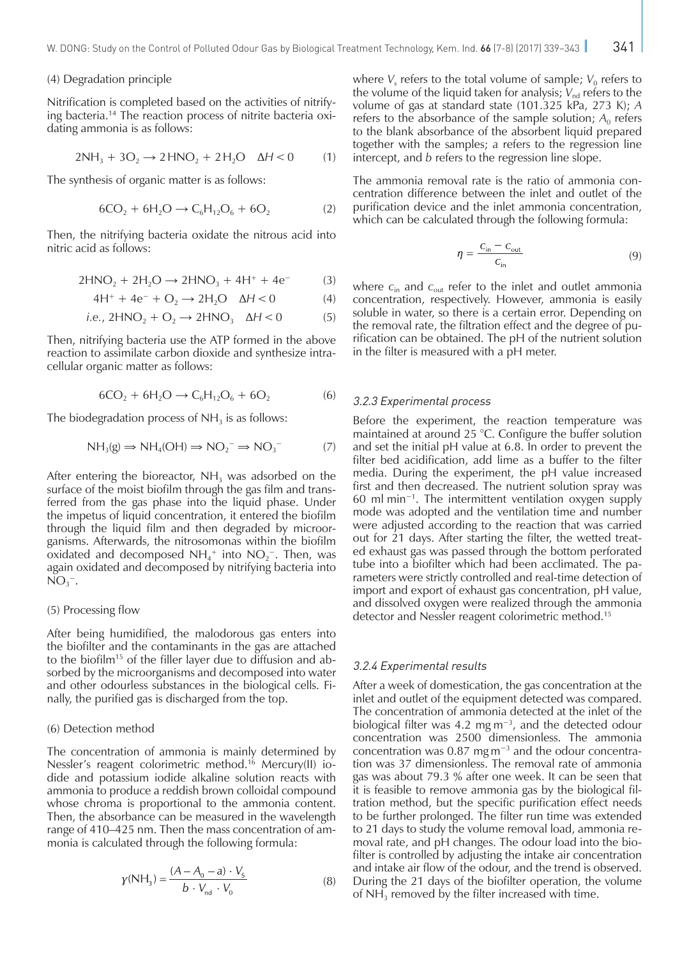#### (4) Degradation principle

Nitrification is completed based on the activities of nitrifying bacteria.14 The reaction process of nitrite bacteria oxidating ammonia is as follows:

$$
2NH_3 + 3O_2 \rightarrow 2HNO_2 + 2H_2O \quad \Delta H < 0 \tag{1}
$$

The synthesis of organic matter is as follows:

$$
6CO_2 + 6H_2O \to C_6H_{12}O_6 + 6O_2 \tag{2}
$$

Then, the nitrifying bacteria oxidate the nitrous acid into nitric acid as follows:

$$
2HNO2 + 2H2O \to 2HNO3 + 4H+ + 4e- (3)
$$

$$
4H^{+} + 4e^{-} + O_2 \rightarrow 2H_2O \quad \Delta H < 0 \tag{4}
$$

i.e., 
$$
2HNO_2 + O_2 \rightarrow 2HNO_3
$$
  $\Delta H < 0$  (5)

Then, nitrifying bacteria use the ATP formed in the above reaction to assimilate carbon dioxide and synthesize intracellular organic matter as follows:

$$
6CO_2 + 6H_2O \to C_6H_{12}O_6 + 6O_2 \tag{6}
$$

The biodegradation process of  $NH<sub>3</sub>$  is as follows:

$$
NH_3(g) \Rightarrow NH_4(OH) \Rightarrow NO_2^- \Rightarrow NO_3^- \tag{7}
$$

After entering the bioreactor,  $NH<sub>3</sub>$  was adsorbed on the surface of the moist biofilm through the gas film and transferred from the gas phase into the liquid phase. Under the impetus of liquid concentration, it entered the biofilm through the liquid film and then degraded by microorganisms. Afterwards, the nitrosomonas within the biofilm oxidated and decomposed  $NH_4^+$  into  $NO_2^-$ . Then, was again oxidated and decomposed by nitrifying bacteria into  $NO<sub>3</sub><sup>-</sup>$ .

#### (5) Processing flow

After being humidified, the malodorous gas enters into the biofilter and the contaminants in the gas are attached to the biofilm15 of the filler layer due to diffusion and absorbed by the microorganisms and decomposed into water and other odourless substances in the biological cells. Finally, the purified gas is discharged from the top.

#### (6) Detection method

The concentration of ammonia is mainly determined by Nessler's reagent colorimetric method.<sup>16</sup> Mercury(II) iodide and potassium iodide alkaline solution reacts with ammonia to produce a reddish brown colloidal compound whose chroma is proportional to the ammonia content. Then, the absorbance can be measured in the wavelength range of 410–425 nm. Then the mass concentration of ammonia is calculated through the following formula:

$$
\gamma(NH_3) = \frac{(A - A_0 - a) \cdot V_s}{b \cdot V_{\text{nd}} \cdot V_0}
$$
 (8)

where  $V_s$  refers to the total volume of sample;  $V_0$  refers to the volume of the liquid taken for analysis;  $V_{nd}$  refers to the volume of gas at standard state (101.325 kPa, 273 K); *A* refers to the absorbance of the sample solution;  $A_0$  refers to the blank absorbance of the absorbent liquid prepared together with the samples; *a* refers to the regression line intercept, and *b* refers to the regression line slope.

The ammonia removal rate is the ratio of ammonia concentration difference between the inlet and outlet of the purification device and the inlet ammonia concentration, which can be calculated through the following formula:

$$
\eta = \frac{C_{\text{in}} - C_{\text{out}}}{C_{\text{in}}} \tag{9}
$$

where *c*in and *c*out refer to the inlet and outlet ammonia concentration, respectively. However, ammonia is easily soluble in water, so there is a certain error. Depending on the removal rate, the filtration effect and the degree of purification can be obtained. The pH of the nutrient solution in the filter is measured with a pH meter.

#### 3.2.3 Experimental process

Before the experiment, the reaction temperature was maintained at around 25 °C. Configure the buffer solution and set the initial pH value at 6.8. In order to prevent the filter bed acidification, add lime as a buffer to the filter media. During the experiment, the pH value increased first and then decreased. The nutrient solution spray was 60 ml min−1. The intermittent ventilation oxygen supply mode was adopted and the ventilation time and number were adjusted according to the reaction that was carried out for 21 days. After starting the filter, the wetted treated exhaust gas was passed through the bottom perforated tube into a biofilter which had been acclimated. The parameters were strictly controlled and real-time detection of import and export of exhaust gas concentration, pH value, and dissolved oxygen were realized through the ammonia detector and Nessler reagent colorimetric method.<sup>15</sup>

#### 3.2.4 Experimental results

After a week of domestication, the gas concentration at the inlet and outlet of the equipment detected was compared. The concentration of ammonia detected at the inlet of the biological filter was 4.2 mg m−3, and the detected odour concentration was 2500 dimensionless. The ammonia concentration was 0.87 mg m−3 and the odour concentration was 37 dimensionless. The removal rate of ammonia gas was about 79.3 % after one week. It can be seen that it is feasible to remove ammonia gas by the biological filtration method, but the specific purification effect needs to be further prolonged. The filter run time was extended to 21 days to study the volume removal load, ammonia removal rate, and pH changes. The odour load into the biofilter is controlled by adjusting the intake air concentration and intake air flow of the odour, and the trend is observed. During the 21 days of the biofilter operation, the volume of  $NH<sub>3</sub>$  removed by the filter increased with time.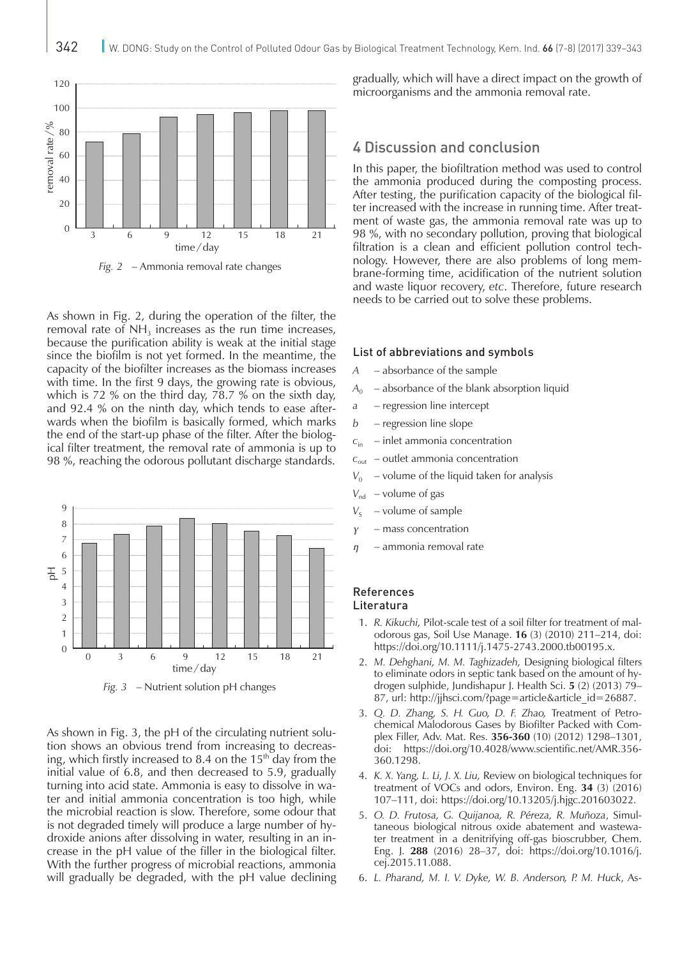

*Fig. 2* – Ammonia removal rate changes

As shown in Fig. 2, during the operation of the filter, the removal rate of  $NH<sub>3</sub>$  increases as the run time increases, because the purification ability is weak at the initial stage since the biofilm is not yet formed. In the meantime, the capacity of the biofilter increases as the biomass increases with time. In the first 9 days, the growing rate is obvious, which is 72 % on the third day, 78.7 % on the sixth day, and 92.4 % on the ninth day, which tends to ease afterwards when the biofilm is basically formed, which marks the end of the start-up phase of the filter. After the biological filter treatment, the removal rate of ammonia is up to 98 %, reaching the odorous pollutant discharge standards.



*Fig. 3* – Nutrient solution pH changes

As shown in Fig. 3, the pH of the circulating nutrient solution shows an obvious trend from increasing to decreasing, which firstly increased to 8.4 on the  $15<sup>th</sup>$  day from the initial value of 6.8, and then decreased to 5.9, gradually turning into acid state. Ammonia is easy to dissolve in water and initial ammonia concentration is too high, while the microbial reaction is slow. Therefore, some odour that is not degraded timely will produce a large number of hydroxide anions after dissolving in water, resulting in an increase in the pH value of the filler in the biological filter. With the further progress of microbial reactions, ammonia will gradually be degraded, with the pH value declining gradually, which will have a direct impact on the growth of microorganisms and the ammonia removal rate.

## 4 Discussion and conclusion

In this paper, the biofiltration method was used to control the ammonia produced during the composting process. After testing, the purification capacity of the biological filter increased with the increase in running time. After treatment of waste gas, the ammonia removal rate was up to 98 %, with no secondary pollution, proving that biological filtration is a clean and efficient pollution control technology. However, there are also problems of long membrane-forming time, acidification of the nutrient solution and waste liquor recovery, *etc*. Therefore, future research needs to be carried out to solve these problems.

#### List of abbreviations and symbols

- *A* absorbance of the sample
- $A_0$  absorbance of the blank absorption liquid
- *a* regression line intercept
- *b* regression line slope
- $c_{\text{in}}$  inlet ammonia concentration
- $c_{\text{out}}$  outlet ammonia concentration
- $V_0$  volume of the liquid taken for analysis
- *V*<sub>nd</sub> volume of gas
- $V_S$  volume of sample
- *γ* mass concentration
- *η* ammonia removal rate

#### References Literatura

- 1. *R. Kikuchi,* Pilot-scale test of a soil filter for treatment of malodorous gas, Soil Use Manage. **16** (3) (2010) 211–214, doi: <https://doi.org/10.1111/j.1475-2743.2000.tb00195.x>.
- 2. *M. Dehghani, M. M. Taghizadeh,* Designing biological filters to eliminate odors in septic tank based on the amount of hydrogen sulphide, Jundishapur J. Health Sci. **5** (2) (2013) 79– 87, url: [http://jjhsci.com/?page=article&article\\_id=26887](http://jjhsci.com/?page=article&article_id=26887).
- 3. *Q. D. Zhang, S. H. Guo, D. F. Zhao,* Treatment of Petrochemical Malodorous Gases by Biofilter Packed with Complex Filler, Adv. Mat. Res. **356-360** (10) (2012) 1298–1301, doi: [https://doi.org/10.4028/www.scientific.net/AMR.356-](https://doi.org/10.4028/www.scientific.net/AMR.356-360.1298) [360.1298](https://doi.org/10.4028/www.scientific.net/AMR.356-360.1298).
- 4. *K. X. Yang, L. Li, J. X. Liu,* Review on biological techniques for treatment of VOCs and odors, Environ. Eng. **34** (3) (2016) 107–111, doi: <https://doi.org/10.13205/j.hjgc.201603022>.
- 5. *O. D. Frutosa, G. Quijanoa, R. Péreza, R. Muñoza*, Simultaneous biological nitrous oxide abatement and wastewater treatment in a denitrifying off-gas bioscrubber, Chem. Eng. J. **288** (2016) 28–37, doi: [https://doi.org/10.1016/j.](https://doi.org/10.1016/j.cej.2015.11.088) [cej.2015.11.088](https://doi.org/10.1016/j.cej.2015.11.088).
- 6. *L. Pharand, M. I. V. Dyke, W. B. Anderson, P. M. Huck*, As-